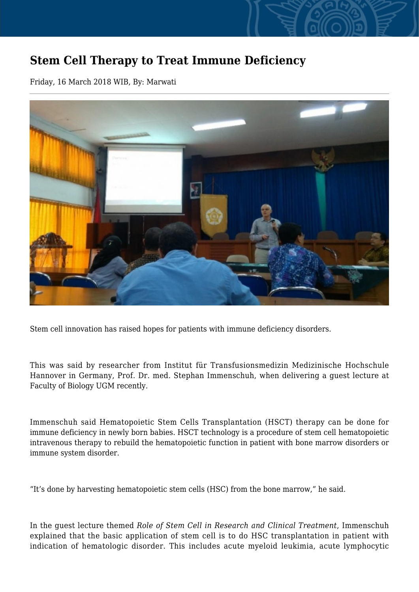## **Stem Cell Therapy to Treat Immune Deficiency**

Friday, 16 March 2018 WIB, By: Marwati



Stem cell innovation has raised hopes for patients with immune deficiency disorders.

This was said by researcher from Institut für Transfusionsmedizin Medizinische Hochschule Hannover in Germany, Prof. Dr. med. Stephan Immenschuh, when delivering a guest lecture at Faculty of Biology UGM recently.

Immenschuh said Hematopoietic Stem Cells Transplantation (HSCT) therapy can be done for immune deficiency in newly born babies. HSCT technology is a procedure of stem cell hematopoietic intravenous therapy to rebuild the hematopoietic function in patient with bone marrow disorders or immune system disorder.

"It's done by harvesting hematopoietic stem cells (HSC) from the bone marrow," he said.

In the guest lecture themed *Role of Stem Cell in Research and Clinical Treatment*, Immenschuh explained that the basic application of stem cell is to do HSC transplantation in patient with indication of hematologic disorder. This includes acute myeloid leukimia, acute lymphocytic